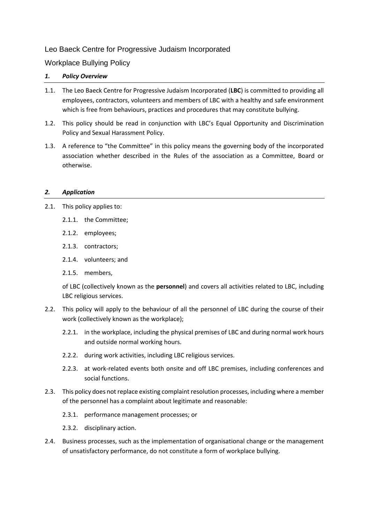# Leo Baeck Centre for Progressive Judaism Incorporated

Workplace Bullying Policy

## *1. Policy Overview*

- 1.1. The Leo Baeck Centre for Progressive Judaism Incorporated (**LBC**) is committed to providing all employees, contractors, volunteers and members of LBC with a healthy and safe environment which is free from behaviours, practices and procedures that may constitute bullying.
- 1.2. This policy should be read in conjunction with LBC's Equal Opportunity and Discrimination Policy and Sexual Harassment Policy.
- 1.3. A reference to "the Committee" in this policy means the governing body of the incorporated association whether described in the Rules of the association as a Committee, Board or otherwise.

## *2. Application*

- 2.1. This policy applies to:
	- 2.1.1. the Committee;
	- 2.1.2. employees;
	- 2.1.3. contractors;
	- 2.1.4. volunteers; and
	- 2.1.5. members,

of LBC (collectively known as the **personnel**) and covers all activities related to LBC, including LBC religious services.

- 2.2. This policy will apply to the behaviour of all the personnel of LBC during the course of their work (collectively known as the workplace);
	- 2.2.1. in the workplace, including the physical premises of LBC and during normal work hours and outside normal working hours.
	- 2.2.2. during work activities, including LBC religious services.
	- 2.2.3. at work-related events both onsite and off LBC premises, including conferences and social functions.
- 2.3. This policy does not replace existing complaint resolution processes, including where a member of the personnel has a complaint about legitimate and reasonable:
	- 2.3.1. performance management processes; or
	- 2.3.2. disciplinary action.
- 2.4. Business processes, such as the implementation of organisational change or the management of unsatisfactory performance, do not constitute a form of workplace bullying.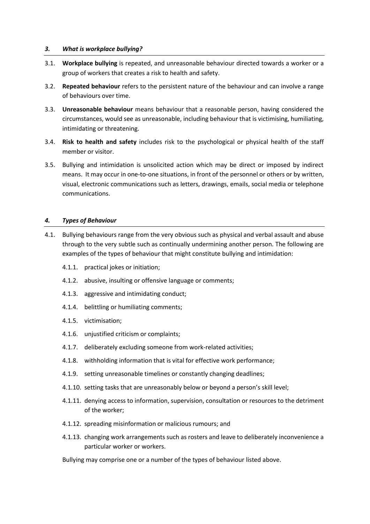### *3. What is workplace bullying?*

- 3.1. **Workplace bullying** is repeated, and unreasonable behaviour directed towards a worker or a group of workers that creates a risk to health and safety.
- 3.2. **Repeated behaviour** refers to the persistent nature of the behaviour and can involve a range of behaviours over time.
- 3.3. **Unreasonable behaviour** means behaviour that a reasonable person, having considered the circumstances, would see as unreasonable, including behaviour that is victimising, humiliating, intimidating or threatening.
- 3.4. **Risk to health and safety** includes risk to the psychological or physical health of the staff member or visitor.
- 3.5. Bullying and intimidation is unsolicited action which may be direct or imposed by indirect means. It may occur in one-to-one situations, in front of the personnel or others or by written, visual, electronic communications such as letters, drawings, emails, social media or telephone communications.

### *4. Types of Behaviour*

- 4.1. Bullying behaviours range from the very obvious such as physical and verbal assault and abuse through to the very subtle such as continually undermining another person. The following are examples of the types of behaviour that might constitute bullying and intimidation:
	- 4.1.1. practical jokes or initiation;
	- 4.1.2. abusive, insulting or offensive language or comments;
	- 4.1.3. aggressive and intimidating conduct;
	- 4.1.4. belittling or humiliating comments;
	- 4.1.5. victimisation;
	- 4.1.6. unjustified criticism or complaints;
	- 4.1.7. deliberately excluding someone from work-related activities;
	- 4.1.8. withholding information that is vital for effective work performance;
	- 4.1.9. setting unreasonable timelines or constantly changing deadlines;
	- 4.1.10. setting tasks that are unreasonably below or beyond a person's skill level;
	- 4.1.11. denying access to information, supervision, consultation or resources to the detriment of the worker;
	- 4.1.12. spreading misinformation or malicious rumours; and
	- 4.1.13. changing work arrangements such as rosters and leave to deliberately inconvenience a particular worker or workers.

Bullying may comprise one or a number of the types of behaviour listed above.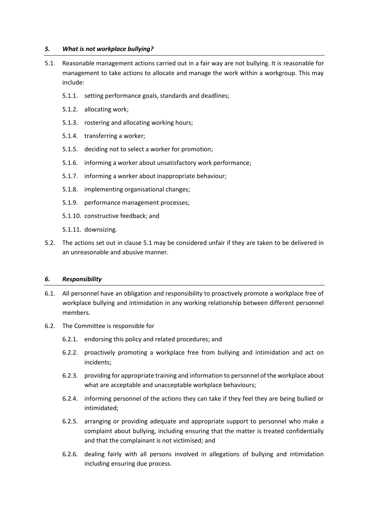### *5. What is not workplace bullying?*

- 5.1. Reasonable management actions carried out in a fair way are not bullying. It is reasonable for management to take actions to allocate and manage the work within a workgroup. This may include:
	- 5.1.1. setting performance goals, standards and deadlines;
	- 5.1.2. allocating work;
	- 5.1.3. rostering and allocating working hours;
	- 5.1.4. transferring a worker;
	- 5.1.5. deciding not to select a worker for promotion;
	- 5.1.6. informing a worker about unsatisfactory work performance;
	- 5.1.7. informing a worker about inappropriate behaviour;
	- 5.1.8. implementing organisational changes;
	- 5.1.9. performance management processes;
	- 5.1.10. constructive feedback; and
	- 5.1.11. downsizing.
- 5.2. The actions set out in clause 5.1 may be considered unfair if they are taken to be delivered in an unreasonable and abusive manner.

#### *6. Responsibility*

- 6.1. All personnel have an obligation and responsibility to proactively promote a workplace free of workplace bullying and intimidation in any working relationship between different personnel members.
- 6.2. The Committee is responsible for
	- 6.2.1. endorsing this policy and related procedures; and
	- 6.2.2. proactively promoting a workplace free from bullying and intimidation and act on incidents;
	- 6.2.3. providing for appropriate training and information to personnel of the workplace about what are acceptable and unacceptable workplace behaviours;
	- 6.2.4. informing personnel of the actions they can take if they feel they are being bullied or intimidated;
	- 6.2.5. arranging or providing adequate and appropriate support to personnel who make a complaint about bullying, including ensuring that the matter is treated confidentially and that the complainant is not victimised; and
	- 6.2.6. dealing fairly with all persons involved in allegations of bullying and intimidation including ensuring due process.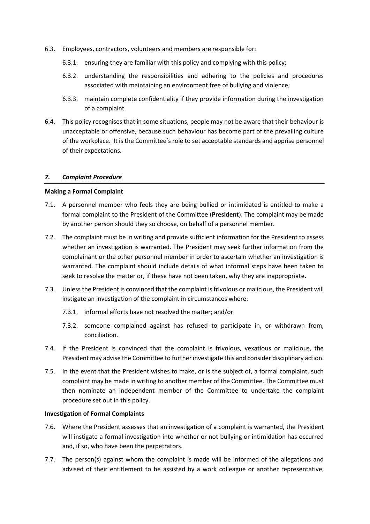- 6.3. Employees, contractors, volunteers and members are responsible for:
	- 6.3.1. ensuring they are familiar with this policy and complying with this policy;
	- 6.3.2. understanding the responsibilities and adhering to the policies and procedures associated with maintaining an environment free of bullying and violence;
	- 6.3.3. maintain complete confidentiality if they provide information during the investigation of a complaint.
- 6.4. This policy recognises that in some situations, people may not be aware that their behaviour is unacceptable or offensive, because such behaviour has become part of the prevailing culture of the workplace. It is the Committee's role to set acceptable standards and apprise personnel of their expectations.

### *7. Complaint Procedure*

### **Making a Formal Complaint**

- 7.1. A personnel member who feels they are being bullied or intimidated is entitled to make a formal complaint to the President of the Committee (**President**). The complaint may be made by another person should they so choose, on behalf of a personnel member.
- 7.2. The complaint must be in writing and provide sufficient information for the President to assess whether an investigation is warranted. The President may seek further information from the complainant or the other personnel member in order to ascertain whether an investigation is warranted. The complaint should include details of what informal steps have been taken to seek to resolve the matter or, if these have not been taken, why they are inappropriate.
- 7.3. Unless the President is convinced that the complaint is frivolous or malicious, the President will instigate an investigation of the complaint in circumstances where:
	- 7.3.1. informal efforts have not resolved the matter; and/or
	- 7.3.2. someone complained against has refused to participate in, or withdrawn from, conciliation.
- 7.4. If the President is convinced that the complaint is frivolous, vexatious or malicious, the President may advise the Committee to further investigate this and consider disciplinary action.
- 7.5. In the event that the President wishes to make, or is the subject of, a formal complaint, such complaint may be made in writing to another member of the Committee. The Committee must then nominate an independent member of the Committee to undertake the complaint procedure set out in this policy.

#### **Investigation of Formal Complaints**

- 7.6. Where the President assesses that an investigation of a complaint is warranted, the President will instigate a formal investigation into whether or not bullying or intimidation has occurred and, if so, who have been the perpetrators.
- 7.7. The person(s) against whom the complaint is made will be informed of the allegations and advised of their entitlement to be assisted by a work colleague or another representative,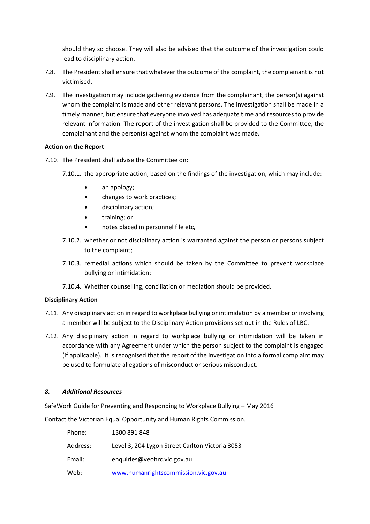should they so choose. They will also be advised that the outcome of the investigation could lead to disciplinary action.

- 7.8. The President shall ensure that whatever the outcome of the complaint, the complainant is not victimised.
- 7.9. The investigation may include gathering evidence from the complainant, the person(s) against whom the complaint is made and other relevant persons. The investigation shall be made in a timely manner, but ensure that everyone involved has adequate time and resources to provide relevant information. The report of the investigation shall be provided to the Committee, the complainant and the person(s) against whom the complaint was made.

## **Action on the Report**

- 7.10. The President shall advise the Committee on:
	- 7.10.1. the appropriate action, based on the findings of the investigation, which may include:
		- an apology;
		- changes to work practices;
		- disciplinary action;
		- training; or
		- notes placed in personnel file etc,
	- 7.10.2. whether or not disciplinary action is warranted against the person or persons subject to the complaint;
	- 7.10.3. remedial actions which should be taken by the Committee to prevent workplace bullying or intimidation;
	- 7.10.4. Whether counselling, conciliation or mediation should be provided.

### **Disciplinary Action**

- 7.11. Any disciplinary action in regard to workplace bullying or intimidation by a member or involving a member will be subject to the Disciplinary Action provisions set out in the Rules of LBC.
- 7.12. Any disciplinary action in regard to workplace bullying or intimidation will be taken in accordance with any Agreement under which the person subject to the complaint is engaged (if applicable). It is recognised that the report of the investigation into a formal complaint may be used to formulate allegations of misconduct or serious misconduct.

### *8. Additional Resources*

SafeWork Guide for Preventing and Responding to Workplace Bullying – May 2016

Contact the Victorian Equal Opportunity and Human Rights Commission.

| Phone:   | 1300 891 848                                    |
|----------|-------------------------------------------------|
| Address: | Level 3, 204 Lygon Street Carlton Victoria 3053 |
| Email:   | enquiries@veohrc.vic.gov.au                     |
| Web:     | www.humanrightscommission.vic.gov.au            |